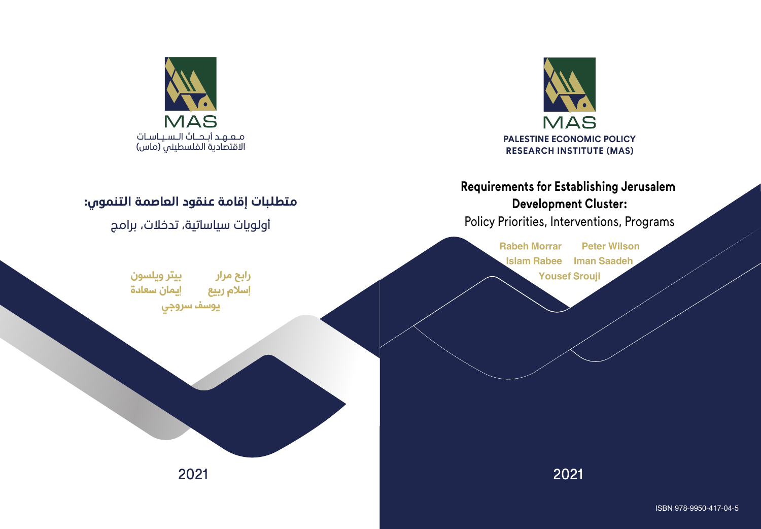

# **Requirements for Establishing Jerusalem Development Cluster:**

Policy Priorities, Interventions, Programs

Rabeh Morrar Peter Wilson Islam Rabee Iman Saadeh

Yousef Srouji

2021 2021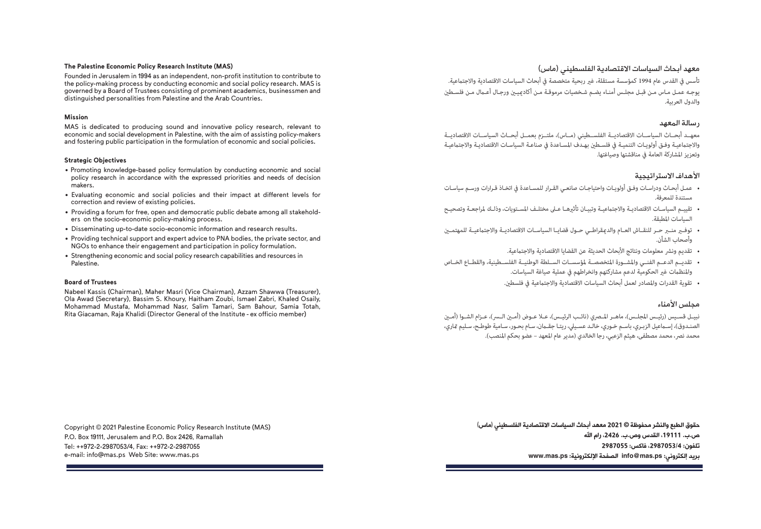#### **The Palestine Economic Policy Research Institute (MAS)**

Founded in Jerusalem in 1994 as an independent, non-profit institution to contribute to the policy-making process by conducting economic and social policy research. MAS is governed by a Board of Trustees consisting of prominent academics, businessmen and distinguished personalities from Palestine and the Arab Countries.

#### **Mission**

MAS is dedicated to producing sound and innovative policy research, relevant to economic and social development in Palestine, with the aim of assisting policy-makers and fostering public participation in the formulation of economic and social policies.

### **Strategic Objectives**

- Promoting knowledge-based policy formulation by conducting economic and social policy research in accordance with the expressed priorities and needs of decision makers.
- Evaluating economic and social policies and their impact at different levels for correction and review of existing policies.
- Providing a forum for free, open and democratic public debate among all stakeholders on the socio-economic policy-making process.
- Disseminating up-to-date socio-economic information and research results.
- Providing technical support and expert advice to PNA bodies, the private sector, and NGOs to enhance their engagement and participation in policy formulation.
- Strengthening economic and social policy research capabilities and resources in Palestine.

### **Board of Trustees**

Nabeel Kassis (Chairman), Maher Masri (Vice Chairman), Azzam Shawwa (Treasurer), Ola Awad (Secretary), Bassim S. Khoury, Haitham Zoubi, Ismael Zabri, Khaled Osaily, Mohammad Mustafa, Mohammad Nasr, Salim Tamari, Sam Bahour, Samia Totah, Rita Giacaman, Raja Khalidi (Director General of the Institute - ex officio member)

Copyright © 2021 Palestine Economic Policy Research Institute (MAS) P.O. Box 19111, Jerusalem and P.O. Box 2426, Ramallah Tel: ++972-2-2987053/4, Fax: ++972-2-2987055 e-mail: info@mas.ps Web Site: www.mas.ps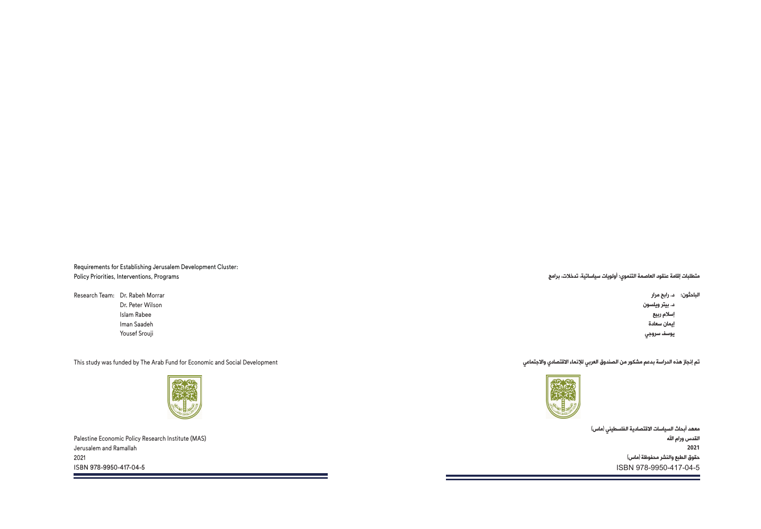Requirements for Establishing Jerusalem Development Cluster: Policy Priorities, Interventions, Programs

Research Team: Dr. Rabeh Morrar Dr. Peter Wilson Islam Rabee Iman Saadeh Yousef Srouji

This study was funded by The Arab Fund for Economic and Social Development



**STATISTICS** 

Palestine Economic Policy Research Institute (MAS) Jerusalem and Ramallah 2021 ISBN 978-9950-417-04-5 **Contract Contract Contract**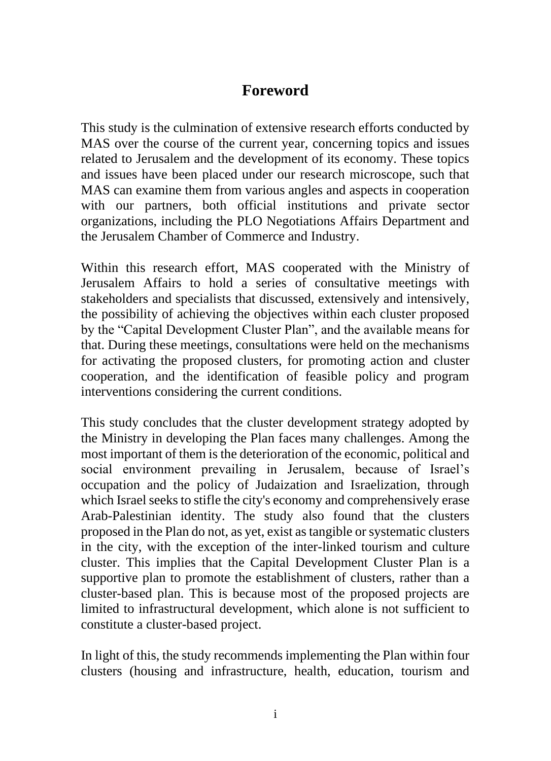## **Foreword**

This study is the culmination of extensive research efforts conducted by MAS over the course of the current year, concerning topics and issues related to Jerusalem and the development of its economy. These topics and issues have been placed under our research microscope, such that MAS can examine them from various angles and aspects in cooperation with our partners, both official institutions and private sector organizations, including the PLO Negotiations Affairs Department and the Jerusalem Chamber of Commerce and Industry.

Within this research effort, MAS cooperated with the Ministry of Jerusalem Affairs to hold a series of consultative meetings with stakeholders and specialists that discussed, extensively and intensively, the possibility of achieving the objectives within each cluster proposed by the "Capital Development Cluster Plan", and the available means for that. During these meetings, consultations were held on the mechanisms for activating the proposed clusters, for promoting action and cluster cooperation, and the identification of feasible policy and program interventions considering the current conditions.

This study concludes that the cluster development strategy adopted by the Ministry in developing the Plan faces many challenges. Among the most important of them is the deterioration of the economic, political and social environment prevailing in Jerusalem, because of Israel's occupation and the policy of Judaization and Israelization, through which Israel seeks to stifle the city's economy and comprehensively erase Arab-Palestinian identity. The study also found that the clusters proposed in the Plan do not, as yet, exist as tangible or systematic clusters in the city, with the exception of the inter-linked tourism and culture cluster. This implies that the Capital Development Cluster Plan is a supportive plan to promote the establishment of clusters, rather than a cluster-based plan. This is because most of the proposed projects are limited to infrastructural development, which alone is not sufficient to constitute a cluster-based project.

In light of this, the study recommends implementing the Plan within four clusters (housing and infrastructure, health, education, tourism and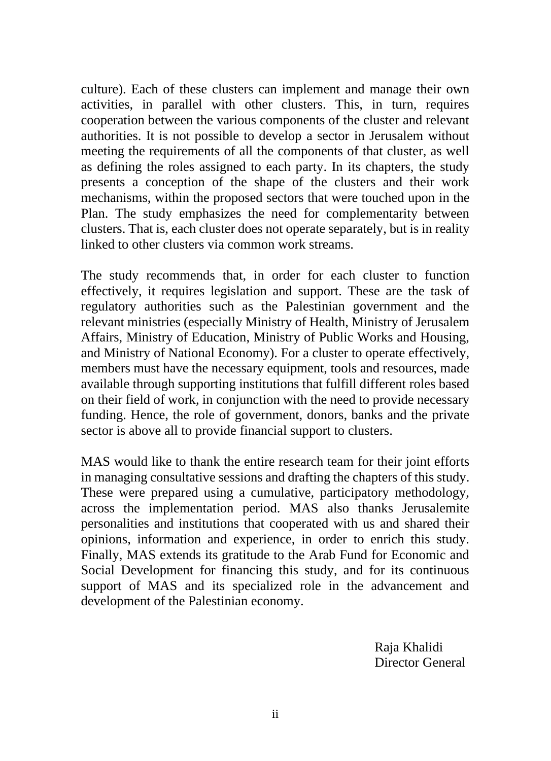culture). Each of these clusters can implement and manage their own activities, in parallel with other clusters. This, in turn, requires cooperation between the various components of the cluster and relevant authorities. It is not possible to develop a sector in Jerusalem without meeting the requirements of all the components of that cluster, as well as defining the roles assigned to each party. In its chapters, the study presents a conception of the shape of the clusters and their work mechanisms, within the proposed sectors that were touched upon in the Plan. The study emphasizes the need for complementarity between clusters. That is, each cluster does not operate separately, but is in reality linked to other clusters via common work streams.

The study recommends that, in order for each cluster to function effectively, it requires legislation and support. These are the task of regulatory authorities such as the Palestinian government and the relevant ministries (especially Ministry of Health, Ministry of Jerusalem Affairs, Ministry of Education, Ministry of Public Works and Housing, and Ministry of National Economy). For a cluster to operate effectively, members must have the necessary equipment, tools and resources, made available through supporting institutions that fulfill different roles based on their field of work, in conjunction with the need to provide necessary funding. Hence, the role of government, donors, banks and the private sector is above all to provide financial support to clusters.

MAS would like to thank the entire research team for their joint efforts in managing consultative sessions and drafting the chapters of this study. These were prepared using a cumulative, participatory methodology, across the implementation period. MAS also thanks Jerusalemite personalities and institutions that cooperated with us and shared their opinions, information and experience, in order to enrich this study. Finally, MAS extends its gratitude to the Arab Fund for Economic and Social Development for financing this study, and for its continuous support of MAS and its specialized role in the advancement and development of the Palestinian economy.

> Raja Khalidi Director General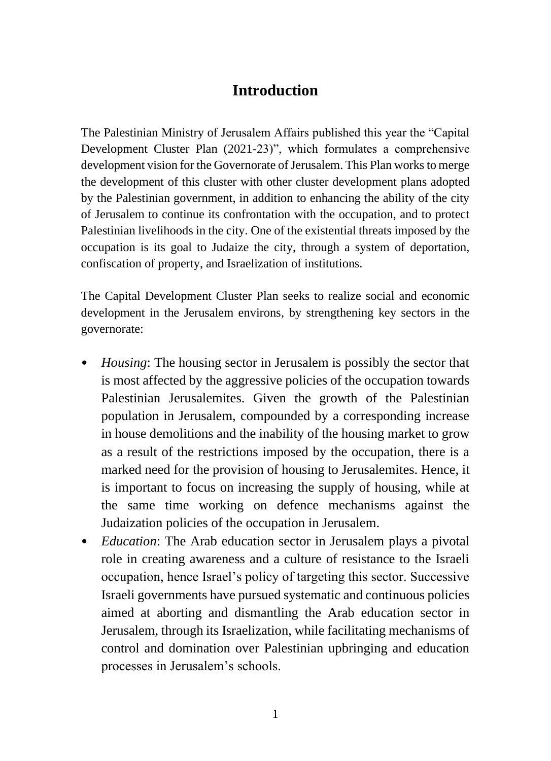## **Introduction**

The Palestinian Ministry of Jerusalem Affairs published this year the "Capital Development Cluster Plan (2021-23)", which formulates a comprehensive development vision for the Governorate of Jerusalem. This Plan works to merge the development of this cluster with other cluster development plans adopted by the Palestinian government, in addition to enhancing the ability of the city of Jerusalem to continue its confrontation with the occupation, and to protect Palestinian livelihoods in the city. One of the existential threats imposed by the occupation is its goal to Judaize the city, through a system of deportation, confiscation of property, and Israelization of institutions.

The Capital Development Cluster Plan seeks to realize social and economic development in the Jerusalem environs, by strengthening key sectors in the governorate:

- *Housing*: The housing sector in Jerusalem is possibly the sector that is most affected by the aggressive policies of the occupation towards Palestinian Jerusalemites. Given the growth of the Palestinian population in Jerusalem, compounded by a corresponding increase in house demolitions and the inability of the housing market to grow as a result of the restrictions imposed by the occupation, there is a marked need for the provision of housing to Jerusalemites. Hence, it is important to focus on increasing the supply of housing, while at the same time working on defence mechanisms against the Judaization policies of the occupation in Jerusalem.
- *Education*: The Arab education sector in Jerusalem plays a pivotal role in creating awareness and a culture of resistance to the Israeli occupation, hence Israel's policy of targeting this sector. Successive Israeli governments have pursued systematic and continuous policies aimed at aborting and dismantling the Arab education sector in Jerusalem, through its Israelization, while facilitating mechanisms of control and domination over Palestinian upbringing and education processes in Jerusalem's schools.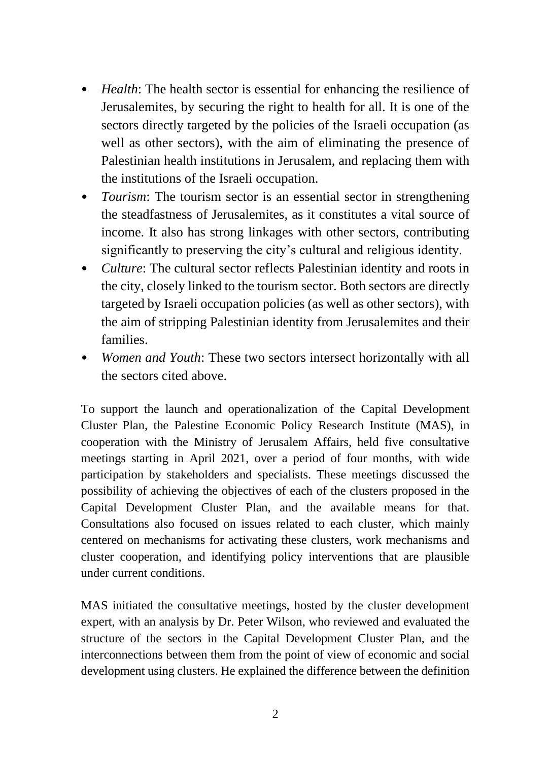- *Health*: The health sector is essential for enhancing the resilience of Jerusalemites, by securing the right to health for all. It is one of the sectors directly targeted by the policies of the Israeli occupation (as well as other sectors), with the aim of eliminating the presence of Palestinian health institutions in Jerusalem, and replacing them with the institutions of the Israeli occupation.
- *Tourism*: The tourism sector is an essential sector in strengthening the steadfastness of Jerusalemites, as it constitutes a vital source of income. It also has strong linkages with other sectors, contributing significantly to preserving the city's cultural and religious identity.
- *Culture*: The cultural sector reflects Palestinian identity and roots in the city, closely linked to the tourism sector. Both sectors are directly targeted by Israeli occupation policies (as well as other sectors), with the aim of stripping Palestinian identity from Jerusalemites and their families.
- *Women and Youth*: These two sectors intersect horizontally with all the sectors cited above.

To support the launch and operationalization of the Capital Development Cluster Plan, the Palestine Economic Policy Research Institute (MAS), in cooperation with the Ministry of Jerusalem Affairs, held five consultative meetings starting in April 2021, over a period of four months, with wide participation by stakeholders and specialists. These meetings discussed the possibility of achieving the objectives of each of the clusters proposed in the Capital Development Cluster Plan, and the available means for that. Consultations also focused on issues related to each cluster, which mainly centered on mechanisms for activating these clusters, work mechanisms and cluster cooperation, and identifying policy interventions that are plausible under current conditions.

MAS initiated the consultative meetings, hosted by the cluster development expert, with an analysis by Dr. Peter Wilson, who reviewed and evaluated the structure of the sectors in the Capital Development Cluster Plan, and the interconnections between them from the point of view of economic and social development using clusters. He explained the difference between the definition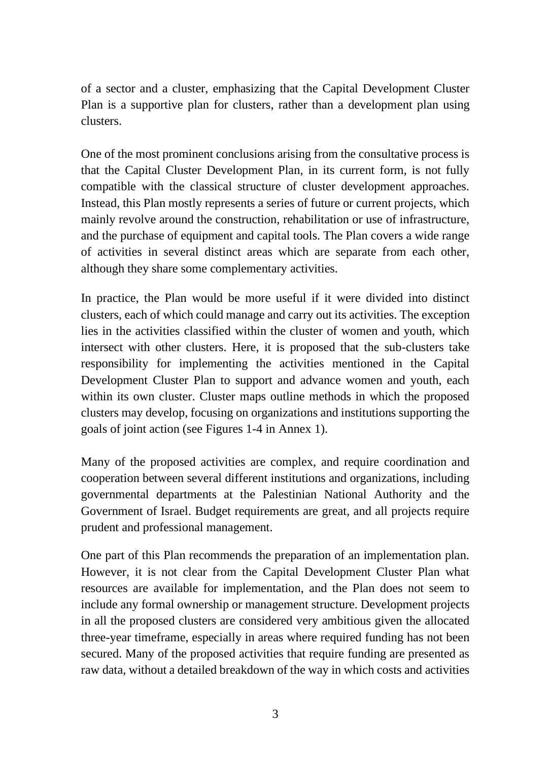of a sector and a cluster, emphasizing that the Capital Development Cluster Plan is a supportive plan for clusters, rather than a development plan using clusters.

One of the most prominent conclusions arising from the consultative process is that the Capital Cluster Development Plan, in its current form, is not fully compatible with the classical structure of cluster development approaches. Instead, this Plan mostly represents a series of future or current projects, which mainly revolve around the construction, rehabilitation or use of infrastructure, and the purchase of equipment and capital tools. The Plan covers a wide range of activities in several distinct areas which are separate from each other, although they share some complementary activities.

In practice, the Plan would be more useful if it were divided into distinct clusters, each of which could manage and carry out its activities. The exception lies in the activities classified within the cluster of women and youth, which intersect with other clusters. Here, it is proposed that the sub-clusters take responsibility for implementing the activities mentioned in the Capital Development Cluster Plan to support and advance women and youth, each within its own cluster. Cluster maps outline methods in which the proposed clusters may develop, focusing on organizations and institutions supporting the goals of joint action (see Figures 1-4 in Annex 1).

Many of the proposed activities are complex, and require coordination and cooperation between several different institutions and organizations, including governmental departments at the Palestinian National Authority and the Government of Israel. Budget requirements are great, and all projects require prudent and professional management.

One part of this Plan recommends the preparation of an implementation plan. However, it is not clear from the Capital Development Cluster Plan what resources are available for implementation, and the Plan does not seem to include any formal ownership or management structure. Development projects in all the proposed clusters are considered very ambitious given the allocated three-year timeframe, especially in areas where required funding has not been secured. Many of the proposed activities that require funding are presented as raw data, without a detailed breakdown of the way in which costs and activities